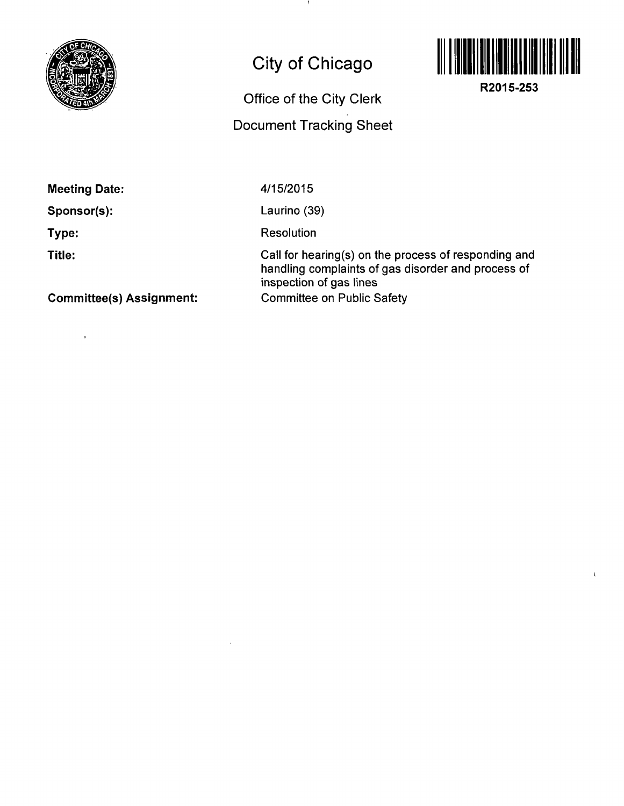

## **City of Chicago**

## **Office of the City Clerk**

## **Document Tracking Sheet**



**R2015-253** 

 $\sqrt{2}$ 

**Meeting Date:** 

**Sponsor(s):** 

 $\bar{\mathbf{r}}$ 

**Type:** 

**Title:** 

4/15/2015

Laurino (39)

Resolution

Call for hearing(s) on the process of responding and handling complaints of gas disorder and process of inspection of gas lines Committee on Public Safety

**Committee(s) Assignment:**